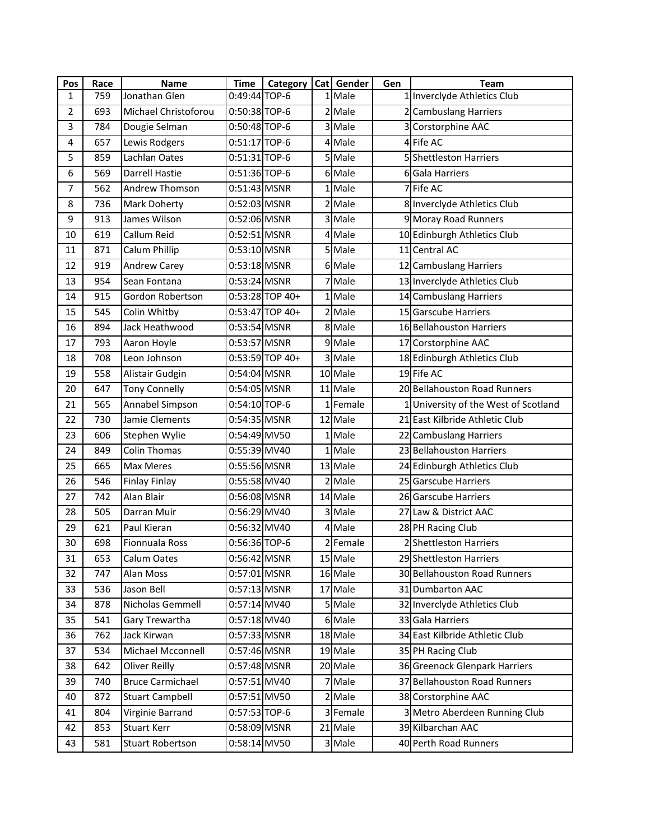| Pos            | Race | <b>Name</b>             | <b>Time</b>     | Category        | Cat Gender        | Gen | <b>Team</b>                          |
|----------------|------|-------------------------|-----------------|-----------------|-------------------|-----|--------------------------------------|
| 1              | 759  | Jonathan Glen           | 0:49:44 TOP-6   |                 | 1 Male            |     | 1 Inverclyde Athletics Club          |
| $\overline{2}$ | 693  | Michael Christoforou    | 0:50:38 TOP-6   |                 | 2 Male            |     | 2 Cambuslang Harriers                |
| 3              | 784  | Dougie Selman           | 0:50:48 TOP-6   |                 | 3 Male            |     | 3 Corstorphine AAC                   |
| 4              | 657  | Lewis Rodgers           | 0:51:17 TOP-6   |                 | 4 Male            |     | 4 Fife AC                            |
| 5              | 859  | Lachlan Oates           | 0:51:31 TOP-6   |                 | 5 Male            |     | 5 Shettleston Harriers               |
| 6              | 569  | <b>Darrell Hastie</b>   | 0:51:36 TOP-6   |                 | 6 Male            |     | 6 Gala Harriers                      |
| $\overline{7}$ | 562  | Andrew Thomson          | 0:51:43 MSNR    |                 | 1 <sup>Male</sup> |     | 7 Fife AC                            |
| 8              | 736  | Mark Doherty            | 0:52:03 MSNR    |                 | 2 Male            |     | 8 Inverclyde Athletics Club          |
| 9              | 913  | James Wilson            | 0:52:06 MSNR    |                 | 3 Male            |     | 9 Moray Road Runners                 |
| 10             | 619  | Callum Reid             | 0:52:51 MSNR    |                 | 4 Male            |     | 10 Edinburgh Athletics Club          |
| 11             | 871  | Calum Phillip           | 0:53:10 MSNR    |                 | 5 Male            |     | 11 Central AC                        |
| 12             | 919  | <b>Andrew Carey</b>     | 0:53:18 MSNR    |                 | 6 Male            |     | 12 Cambuslang Harriers               |
| 13             | 954  | Sean Fontana            | 0:53:24 MSNR    |                 | Male              |     | 13 Inverclyde Athletics Club         |
| 14             | 915  | Gordon Robertson        |                 | 0:53:28 TOP 40+ | 1 Male            |     | 14 Cambuslang Harriers               |
| 15             | 545  | Colin Whitby            |                 | 0:53:47 TOP 40+ | 2 Male            |     | 15 Garscube Harriers                 |
| 16             | 894  | Jack Heathwood          | 0:53:54 MSNR    |                 | 8 Male            |     | 16 Bellahouston Harriers             |
| 17             | 793  | Aaron Hoyle             | 0:53:57 MSNR    |                 | 9 Male            |     | 17 Corstorphine AAC                  |
| 18             | 708  | Leon Johnson            |                 | 0:53:59 TOP 40+ | 3 Male            |     | 18 Edinburgh Athletics Club          |
| 19             | 558  | Alistair Gudgin         | 0:54:04 MSNR    |                 | 10 Male           |     | 19 Fife AC                           |
| 20             | 647  | <b>Tony Connelly</b>    | 0:54:05 MSNR    |                 | 11 Male           |     | 20 Bellahouston Road Runners         |
| 21             | 565  | Annabel Simpson         | $0:54:10$ TOP-6 |                 | 1Female           |     | 1 University of the West of Scotland |
| 22             | 730  | Jamie Clements          | 0:54:35 MSNR    |                 | 12 Male           |     | 21 East Kilbride Athletic Club       |
| 23             | 606  | Stephen Wylie           | 0:54:49 MV50    |                 | 1 Male            |     | 22 Cambuslang Harriers               |
| 24             | 849  | <b>Colin Thomas</b>     | 0:55:39 MV40    |                 | 1 Male            |     | 23 Bellahouston Harriers             |
| 25             | 665  | Max Meres               | 0:55:56 MSNR    |                 | 13 Male           |     | 24 Edinburgh Athletics Club          |
| 26             | 546  | <b>Finlay Finlay</b>    | 0:55:58 MV40    |                 | 2 Male            |     | 25 Garscube Harriers                 |
| 27             | 742  | Alan Blair              | 0:56:08 MSNR    |                 | 14 Male           |     | 26 Garscube Harriers                 |
| 28             | 505  | Darran Muir             | 0:56:29 MV40    |                 | 3 Male            |     | 27 Law & District AAC                |
| 29             | 621  | Paul Kieran             | 0:56:32 MV40    |                 | 4 Male            |     | 28 PH Racing Club                    |
| 30             | 698  | <b>Fionnuala Ross</b>   | 0:56:36 TOP-6   |                 | 2 Female          |     | 2 Shettleston Harriers               |
| 31             | 653  | Calum Oates             | 0:56:42 MSNR    |                 | 15 Male           |     | 29 Shettleston Harriers              |
| 32             | 747  | Alan Moss               | 0:57:01 MSNR    |                 | 16 Male           |     | 30 Bellahouston Road Runners         |
| 33             | 536  | Jason Bell              | $0:57:13$ MSNR  |                 | 17 Male           |     | 31 Dumbarton AAC                     |
| 34             | 878  | Nicholas Gemmell        | 0:57:14 MV40    |                 | 5 Male            |     | 32 Inverclyde Athletics Club         |
| 35             | 541  | Gary Trewartha          | 0:57:18 MV40    |                 | 6 Male            |     | 33 Gala Harriers                     |
| 36             | 762  | Jack Kirwan             | 0:57:33 MSNR    |                 | 18 Male           |     | 34 East Kilbride Athletic Club       |
| 37             | 534  | Michael Mcconnell       | 0:57:46 MSNR    |                 | 19 Male           |     | 35 PH Racing Club                    |
| 38             | 642  | <b>Oliver Reilly</b>    | 0:57:48 MSNR    |                 | 20 Male           |     | 36 Greenock Glenpark Harriers        |
| 39             | 740  | <b>Bruce Carmichael</b> | 0:57:51 MV40    |                 | 7 Male            |     | 37 Bellahouston Road Runners         |
| 40             | 872  | <b>Stuart Campbell</b>  | 0:57:51 MV50    |                 | 2 Male            |     | 38 Corstorphine AAC                  |
| 41             | 804  | Virginie Barrand        | 0:57:53 TOP-6   |                 | 3 Female          |     | 3 Metro Aberdeen Running Club        |
| 42             | 853  | <b>Stuart Kerr</b>      | 0:58:09 MSNR    |                 | 21 Male           |     | 39 Kilbarchan AAC                    |
| 43             | 581  | <b>Stuart Robertson</b> | 0:58:14 MV50    |                 | 3 Male            |     | 40 Perth Road Runners                |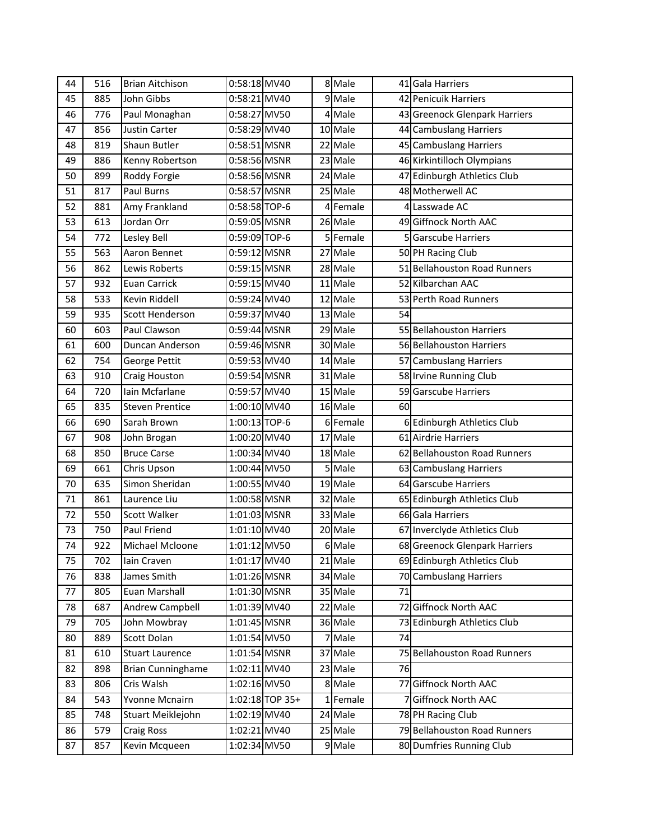| 44 | 516 | <b>Brian Aitchison</b>   | 0:58:18 MV40   |                 |   | 8 Male   |    | 41 Gala Harriers              |
|----|-----|--------------------------|----------------|-----------------|---|----------|----|-------------------------------|
| 45 | 885 | John Gibbs               | 0:58:21 MV40   |                 |   | 9 Male   |    | 42 Penicuik Harriers          |
| 46 | 776 | Paul Monaghan            | 0:58:27 MV50   |                 |   | 4 Male   |    | 43 Greenock Glenpark Harriers |
| 47 | 856 | Justin Carter            | 0:58:29 MV40   |                 |   | 10 Male  |    | 44 Cambuslang Harriers        |
| 48 | 819 | Shaun Butler             | 0:58:51 MSNR   |                 |   | 22 Male  |    | 45 Cambuslang Harriers        |
| 49 | 886 | Kenny Robertson          | 0:58:56 MSNR   |                 |   | 23 Male  |    | 46 Kirkintilloch Olympians    |
| 50 | 899 | Roddy Forgie             | 0:58:56 MSNR   |                 |   | 24 Male  |    | 47 Edinburgh Athletics Club   |
| 51 | 817 | <b>Paul Burns</b>        | 0:58:57 MSNR   |                 |   | 25 Male  |    | 48 Motherwell AC              |
| 52 | 881 | Amy Frankland            | 0:58:58 TOP-6  |                 | 4 | Female   |    | 4 Lasswade AC                 |
| 53 | 613 | Jordan Orr               | 0:59:05 MSNR   |                 |   | 26 Male  |    | 49 Giffnock North AAC         |
| 54 | 772 | Lesley Bell              | 0:59:09 TOP-6  |                 |   | 5 Female |    | <b>Garscube Harriers</b>      |
| 55 | 563 | Aaron Bennet             | $0:59:12$ MSNR |                 |   | 27 Male  |    | 50 PH Racing Club             |
| 56 | 862 | Lewis Roberts            | 0:59:15 MSNR   |                 |   | 28 Male  |    | 51 Bellahouston Road Runners  |
| 57 | 932 | Euan Carrick             | 0:59:15 MV40   |                 |   | 11 Male  |    | 52 Kilbarchan AAC             |
| 58 | 533 | Kevin Riddell            | 0:59:24 MV40   |                 |   | 12 Male  |    | 53 Perth Road Runners         |
| 59 | 935 | Scott Henderson          | 0:59:37 MV40   |                 |   | 13 Male  | 54 |                               |
| 60 | 603 | Paul Clawson             | 0:59:44 MSNR   |                 |   | 29 Male  |    | 55 Bellahouston Harriers      |
| 61 | 600 | Duncan Anderson          | 0:59:46 MSNR   |                 |   | 30 Male  |    | 56 Bellahouston Harriers      |
| 62 | 754 | George Pettit            | 0:59:53 MV40   |                 |   | 14 Male  |    | 57 Cambuslang Harriers        |
| 63 | 910 | Craig Houston            | 0:59:54 MSNR   |                 |   | 31 Male  |    | 58 Irvine Running Club        |
| 64 | 720 | Iain Mcfarlane           | 0:59:57 MV40   |                 |   | 15 Male  |    | 59 Garscube Harriers          |
| 65 | 835 | <b>Steven Prentice</b>   | 1:00:10 MV40   |                 |   | 16 Male  | 60 |                               |
| 66 | 690 | Sarah Brown              | 1:00:13 TOP-6  |                 |   | 6 Female |    | 6 Edinburgh Athletics Club    |
| 67 | 908 | John Brogan              | 1:00:20 MV40   |                 |   | 17 Male  |    | 61 Airdrie Harriers           |
| 68 | 850 | <b>Bruce Carse</b>       | 1:00:34 MV40   |                 |   | 18 Male  |    | 62 Bellahouston Road Runners  |
| 69 | 661 | Chris Upson              | 1:00:44 MV50   |                 |   | 5 Male   |    | 63 Cambuslang Harriers        |
| 70 | 635 | Simon Sheridan           | 1:00:55 MV40   |                 |   | 19 Male  |    | 64 Garscube Harriers          |
| 71 | 861 | Laurence Liu             | 1:00:58 MSNR   |                 |   | 32 Male  |    | 65 Edinburgh Athletics Club   |
| 72 | 550 | Scott Walker             | 1:01:03 MSNR   |                 |   | 33 Male  |    | 66 Gala Harriers              |
| 73 | 750 | Paul Friend              | $1:01:10$ MV40 |                 |   | 20 Male  |    | 67 Inverclyde Athletics Club  |
| 74 | 922 | Michael Mcloone          | 1:01:12 MV50   |                 |   | 6 Male   |    | 68 Greenock Glenpark Harriers |
| 75 | 702 | Iain Craven              | 1:01:17 MV40   |                 |   | 21 Male  |    | 69 Edinburgh Athletics Club   |
| 76 | 838 | James Smith              | 1:01:26 MSNR   |                 |   | 34 Male  |    | 70 Cambuslang Harriers        |
| 77 | 805 | Euan Marshall            | 1:01:30 MSNR   |                 |   | 35 Male  | 71 |                               |
| 78 | 687 | Andrew Campbell          | 1:01:39 MV40   |                 |   | 22 Male  |    | 72 Giffnock North AAC         |
| 79 | 705 | John Mowbray             | 1:01:45 MSNR   |                 |   | 36 Male  |    | 73 Edinburgh Athletics Club   |
| 80 | 889 | Scott Dolan              | 1:01:54 MV50   |                 |   | 7 Male   | 74 |                               |
| 81 | 610 | <b>Stuart Laurence</b>   | 1:01:54 MSNR   |                 |   | 37 Male  |    | 75 Bellahouston Road Runners  |
| 82 | 898 | <b>Brian Cunninghame</b> | 1:02:11 MV40   |                 |   | 23 Male  | 76 |                               |
| 83 | 806 | Cris Walsh               | 1:02:16 MV50   |                 |   | 8 Male   |    | 77 Giffnock North AAC         |
| 84 | 543 | Yvonne Mcnairn           |                | 1:02:18 TOP 35+ |   | 1 Female |    | 7 Giffnock North AAC          |
| 85 | 748 | Stuart Meiklejohn        | 1:02:19 MV40   |                 |   | 24 Male  |    | 78 PH Racing Club             |
| 86 | 579 | <b>Craig Ross</b>        | 1:02:21 MV40   |                 |   | 25 Male  |    | 79 Bellahouston Road Runners  |
| 87 | 857 | Kevin Mcqueen            | 1:02:34 MV50   |                 |   | 9 Male   |    | 80 Dumfries Running Club      |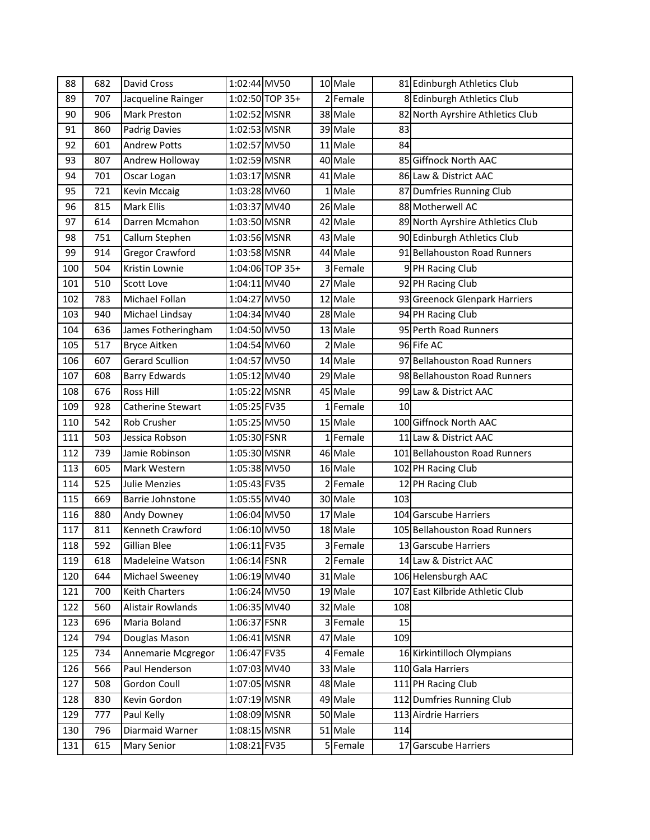| 88  | 682 | David Cross              | 1:02:44 MV50    | 10 Male                          |     | 81 Edinburgh Athletics Club      |
|-----|-----|--------------------------|-----------------|----------------------------------|-----|----------------------------------|
| 89  | 707 | Jacqueline Rainger       | 1:02:50 TOP 35+ | 2Female                          |     | 8 Edinburgh Athletics Club       |
| 90  | 906 | Mark Preston             | 1:02:52 MSNR    | 38 Male                          |     | 82 North Ayrshire Athletics Club |
| 91  | 860 | <b>Padrig Davies</b>     | 1:02:53 MSNR    | 39 Male                          | 83  |                                  |
| 92  | 601 | <b>Andrew Potts</b>      | 1:02:57 MV50    | 11 Male                          | 84  |                                  |
| 93  | 807 | Andrew Holloway          | 1:02:59 MSNR    | 40 Male                          |     | 85 Giffnock North AAC            |
| 94  | 701 | Oscar Logan              | 1:03:17 MSNR    | 41 Male                          |     | 86 Law & District AAC            |
| 95  | 721 | <b>Kevin Mccaig</b>      | 1:03:28 MV60    | 1 Male                           |     | 87 Dumfries Running Club         |
| 96  | 815 | <b>Mark Ellis</b>        | 1:03:37 MV40    | 26 Male                          |     | 88 Motherwell AC                 |
| 97  | 614 | Darren Mcmahon           | 1:03:50 MSNR    | 42 Male                          |     | 89 North Ayrshire Athletics Club |
| 98  | 751 | Callum Stephen           | 1:03:56 MSNR    | 43 Male                          |     | 90 Edinburgh Athletics Club      |
| 99  | 914 | <b>Gregor Crawford</b>   | 1:03:58 MSNR    | 44 Male                          |     | 91 Bellahouston Road Runners     |
| 100 | 504 | Kristin Lownie           | 1:04:06 TOP 35+ | 3 Female                         |     | 9 PH Racing Club                 |
| 101 | 510 | <b>Scott Love</b>        | 1:04:11 MV40    | 27 Male                          |     | 92 PH Racing Club                |
| 102 | 783 | Michael Follan           | 1:04:27 MV50    | 12 Male                          |     | 93 Greenock Glenpark Harriers    |
| 103 | 940 | Michael Lindsay          | 1:04:34 MV40    | 28 Male                          |     | 94 PH Racing Club                |
| 104 | 636 | James Fotheringham       | 1:04:50 MV50    | 13 Male                          |     | 95 Perth Road Runners            |
| 105 | 517 | <b>Bryce Aitken</b>      | 1:04:54 MV60    | Male<br>$\overline{\mathcal{L}}$ |     | 96 Fife AC                       |
| 106 | 607 | <b>Gerard Scullion</b>   | 1:04:57 MV50    | 14 Male                          |     | 97 Bellahouston Road Runners     |
| 107 | 608 | <b>Barry Edwards</b>     | 1:05:12 MV40    | 29 Male                          |     | 98 Bellahouston Road Runners     |
| 108 | 676 | <b>Ross Hill</b>         | 1:05:22 MSNR    | 45 Male                          |     | 99 Law & District AAC            |
| 109 | 928 | <b>Catherine Stewart</b> | 1:05:25 FV35    | 1Female                          | 10  |                                  |
| 110 | 542 | <b>Rob Crusher</b>       | 1:05:25 MV50    | 15 Male                          |     | 100 Giffnock North AAC           |
| 111 | 503 | Jessica Robson           | 1:05:30 FSNR    | 1Female                          |     | 11 Law & District AAC            |
| 112 | 739 | Jamie Robinson           | 1:05:30 MSNR    | 46 Male                          |     | 101 Bellahouston Road Runners    |
| 113 | 605 | Mark Western             | 1:05:38 MV50    | 16 Male                          |     | 102 PH Racing Club               |
| 114 | 525 | <b>Julie Menzies</b>     | 1:05:43 FV35    | 2 Female                         |     | 12 PH Racing Club                |
| 115 | 669 | Barrie Johnstone         | 1:05:55 MV40    | 30 Male                          | 103 |                                  |
| 116 | 880 | Andy Downey              | 1:06:04 MV50    | 17 Male                          |     | 104 Garscube Harriers            |
| 117 | 811 | Kenneth Crawford         | 1:06:10 MV50    | 18 Male                          |     | 105 Bellahouston Road Runners    |
| 118 | 592 | Gillian Blee             | 1:06:11 FV35    | 3 Female                         |     | 13 Garscube Harriers             |
| 119 | 618 | Madeleine Watson         | 1:06:14 FSNR    | 2 Female                         |     | 14 Law & District AAC            |
| 120 | 644 | Michael Sweeney          | 1:06:19 MV40    | 31 Male                          |     | 106 Helensburgh AAC              |
| 121 | 700 | <b>Keith Charters</b>    | 1:06:24 MV50    | 19 Male                          |     | 107 East Kilbride Athletic Club  |
| 122 | 560 | Alistair Rowlands        | 1:06:35 MV40    | 32 Male                          | 108 |                                  |
| 123 | 696 | Maria Boland             | 1:06:37 FSNR    | 3 Female                         | 15  |                                  |
| 124 | 794 | Douglas Mason            | 1:06:41 MSNR    | 47 Male                          | 109 |                                  |
| 125 | 734 | Annemarie Mcgregor       | 1:06:47 FV35    | 4 Female                         |     | 16 Kirkintilloch Olympians       |
| 126 | 566 | Paul Henderson           | 1:07:03 MV40    | 33 Male                          |     | 110 Gala Harriers                |
| 127 | 508 | Gordon Coull             | 1:07:05 MSNR    | 48 Male                          |     | 111 PH Racing Club               |
| 128 | 830 | Kevin Gordon             | 1:07:19 MSNR    | 49 Male                          |     | 112 Dumfries Running Club        |
| 129 | 777 | Paul Kelly               | 1:08:09 MSNR    | 50 Male                          |     | 113 Airdrie Harriers             |
| 130 | 796 | Diarmaid Warner          | 1:08:15 MSNR    | 51 Male                          | 114 |                                  |
| 131 | 615 | Mary Senior              | 1:08:21 FV35    | 5 Female                         |     | 17 Garscube Harriers             |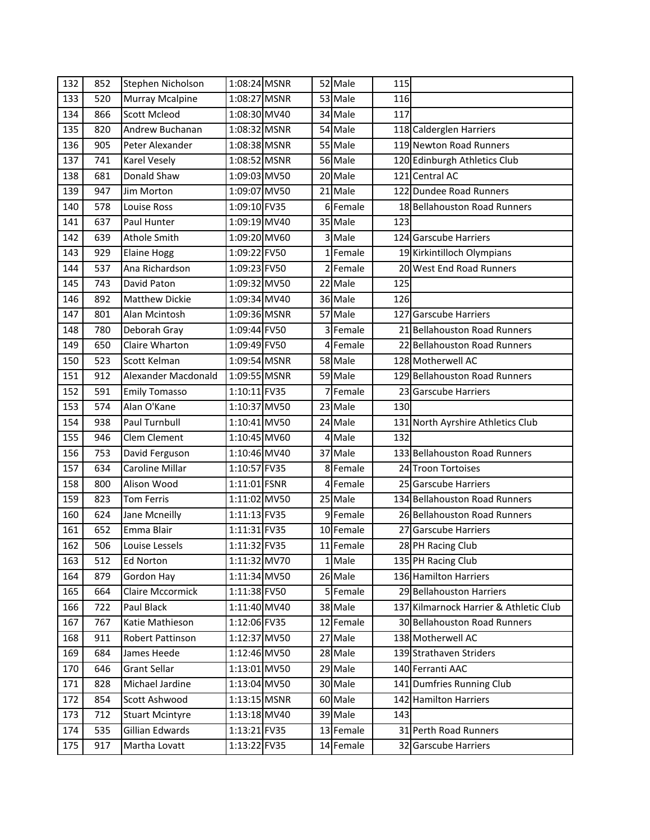| 132 | 852 | Stephen Nicholson       | 1:08:24 MSNR   |  | 52 Male                | 115 |                                        |
|-----|-----|-------------------------|----------------|--|------------------------|-----|----------------------------------------|
| 133 | 520 | Murray Mcalpine         | 1:08:27 MSNR   |  | 53 Male                | 116 |                                        |
| 134 | 866 | <b>Scott Mcleod</b>     | 1:08:30 MV40   |  | 34 Male                | 117 |                                        |
| 135 | 820 | Andrew Buchanan         | 1:08:32 MSNR   |  | 54 Male                |     | 118 Calderglen Harriers                |
| 136 | 905 | Peter Alexander         | 1:08:38 MSNR   |  | 55 Male                |     | 119 Newton Road Runners                |
| 137 | 741 | Karel Vesely            | 1:08:52 MSNR   |  | 56 Male                |     | 120 Edinburgh Athletics Club           |
| 138 | 681 | Donald Shaw             | 1:09:03 MV50   |  | 20 Male                |     | 121 Central AC                         |
| 139 | 947 | Jim Morton              | 1:09:07 MV50   |  | 21 Male                |     | 122 Dundee Road Runners                |
| 140 | 578 | Louise Ross             | 1:09:10 FV35   |  | 6Female                |     | 18 Bellahouston Road Runners           |
| 141 | 637 | Paul Hunter             | 1:09:19 MV40   |  | 35 Male                | 123 |                                        |
| 142 | 639 | <b>Athole Smith</b>     | 1:09:20 MV60   |  | 3 Male                 |     | 124 Garscube Harriers                  |
| 143 | 929 | <b>Elaine Hogg</b>      | 1:09:22 FV50   |  | 1Female                |     | 19 Kirkintilloch Olympians             |
| 144 | 537 | Ana Richardson          | 1:09:23 FV50   |  | 2 Female               |     | 20 West End Road Runners               |
| 145 | 743 | David Paton             | 1:09:32 MV50   |  | 22 Male                | 125 |                                        |
| 146 | 892 | <b>Matthew Dickie</b>   | 1:09:34 MV40   |  | 36 Male                | 126 |                                        |
| 147 | 801 | Alan Mcintosh           | 1:09:36 MSNR   |  | 57 Male                |     | 127 Garscube Harriers                  |
| 148 | 780 | Deborah Gray            | 1:09:44 FV50   |  | 3 Female               |     | 21 Bellahouston Road Runners           |
| 149 | 650 | Claire Wharton          | 1:09:49 FV50   |  | 4 Female               |     | 22 Bellahouston Road Runners           |
| 150 | 523 | Scott Kelman            | 1:09:54 MSNR   |  | 58 Male                |     | 128 Motherwell AC                      |
| 151 | 912 | Alexander Macdonald     | 1:09:55 MSNR   |  | 59 Male                |     | 129 Bellahouston Road Runners          |
| 152 | 591 | <b>Emily Tomasso</b>    | 1:10:11 FV35   |  | 7 Female               |     | 23 Garscube Harriers                   |
| 153 | 574 | Alan O'Kane             | 1:10:37 MV50   |  | 23 Male                | 130 |                                        |
| 154 | 938 | Paul Turnbull           | 1:10:41 MV50   |  | 24 Male                |     | 131 North Ayrshire Athletics Club      |
| 155 | 946 | Clem Clement            | 1:10:45 MV60   |  | 4 Male                 | 132 |                                        |
| 156 | 753 | David Ferguson          | 1:10:46 MV40   |  | 37 Male                |     | 133 Bellahouston Road Runners          |
| 157 | 634 | Caroline Millar         | 1:10:57 FV35   |  | 8Female                |     | 24 Troon Tortoises                     |
| 158 | 800 | Alison Wood             | 1:11:01 FSNR   |  | 4 Female               |     | 25 Garscube Harriers                   |
| 159 | 823 | <b>Tom Ferris</b>       | 1:11:02 MV50   |  | 25 Male                |     | 134 Bellahouston Road Runners          |
| 160 | 624 | Jane Mcneilly           | 1:11:13 FV35   |  | 9Female                |     | 26 Bellahouston Road Runners           |
| 161 | 652 | Emma Blair              | 1:11:31 FV35   |  | $\overline{10}$ Female | 27  | Garscube Harriers                      |
| 162 | 506 | Louise Lessels          | 1:11:32 FV35   |  | 11 Female              |     | 28 PH Racing Club                      |
| 163 | 512 | Ed Norton               | 1:11:32 MV70   |  | 1 Male                 |     | 135 PH Racing Club                     |
| 164 | 879 | Gordon Hay              | 1:11:34 MV50   |  | 26 Male                |     | 136 Hamilton Harriers                  |
| 165 | 664 | <b>Claire Mccormick</b> | 1:11:38 FV50   |  | 5Female                |     | 29 Bellahouston Harriers               |
| 166 | 722 | Paul Black              | 1:11:40 MV40   |  | 38 Male                |     | 137 Kilmarnock Harrier & Athletic Club |
| 167 | 767 | Katie Mathieson         | 1:12:06 FV35   |  | 12 Female              |     | 30 Bellahouston Road Runners           |
| 168 | 911 | Robert Pattinson        | 1:12:37 MV50   |  | 27 Male                |     | 138 Motherwell AC                      |
| 169 | 684 | James Heede             | 1:12:46 MV50   |  | 28 Male                |     | 139 Strathaven Striders                |
| 170 | 646 | <b>Grant Sellar</b>     | $1:13:01$ MV50 |  | 29 Male                |     | 140 Ferranti AAC                       |
| 171 | 828 | Michael Jardine         | 1:13:04 MV50   |  | 30 Male                |     | 141 Dumfries Running Club              |
| 172 | 854 | Scott Ashwood           | 1:13:15 MSNR   |  | 60 Male                |     | 142 Hamilton Harriers                  |
| 173 | 712 | <b>Stuart Mcintyre</b>  | 1:13:18 MV40   |  | 39 Male                | 143 |                                        |
| 174 | 535 | Gillian Edwards         | 1:13:21 FV35   |  | 13 Female              |     | 31 Perth Road Runners                  |
| 175 | 917 | Martha Lovatt           | 1:13:22 FV35   |  | 14 Female              |     | 32 Garscube Harriers                   |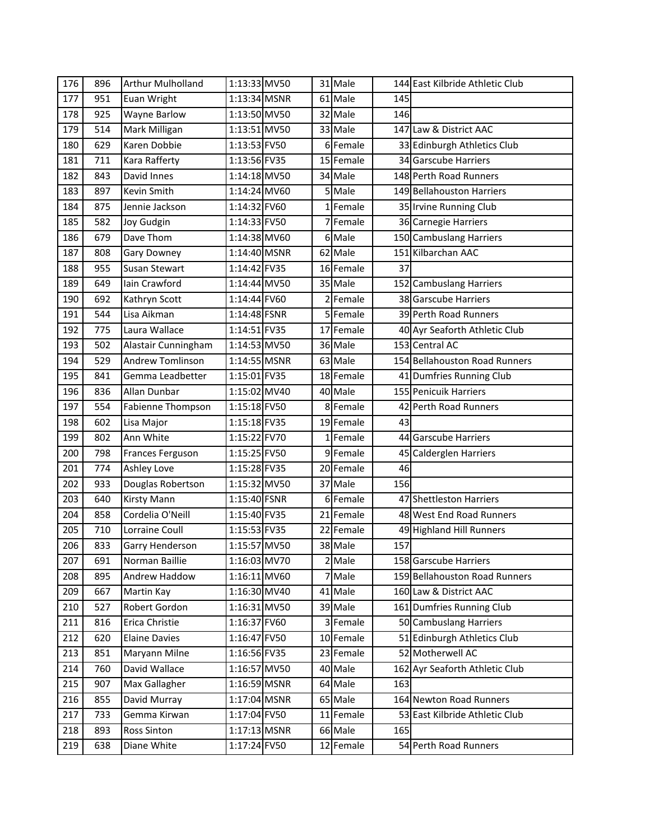| 176 | 896 | <b>Arthur Mulholland</b> | 1:13:33 MV50 |                | 31 Male   |     | 144 East Kilbride Athletic Club |
|-----|-----|--------------------------|--------------|----------------|-----------|-----|---------------------------------|
| 177 | 951 | Euan Wright              | 1:13:34 MSNR |                | 61 Male   | 145 |                                 |
| 178 | 925 | <b>Wayne Barlow</b>      | 1:13:50 MV50 |                | 32 Male   | 146 |                                 |
| 179 | 514 | Mark Milligan            | 1:13:51 MV50 |                | 33 Male   |     | 147 Law & District AAC          |
| 180 | 629 | Karen Dobbie             | 1:13:53 FV50 | 6              | Female    |     | 33 Edinburgh Athletics Club     |
| 181 | 711 | Kara Rafferty            | 1:13:56 FV35 |                | 15 Female |     | 34 Garscube Harriers            |
| 182 | 843 | David Innes              | 1:14:18 MV50 |                | 34 Male   |     | 148 Perth Road Runners          |
| 183 | 897 | <b>Kevin Smith</b>       | 1:14:24 MV60 |                | 5 Male    |     | 149 Bellahouston Harriers       |
| 184 | 875 | Jennie Jackson           | 1:14:32 FV60 | 1 <sup>1</sup> | Female    |     | 35 Irvine Running Club          |
| 185 | 582 | Joy Gudgin               | 1:14:33 FV50 |                | Female    |     | 36 Carnegie Harriers            |
| 186 | 679 | Dave Thom                | 1:14:38 MV60 |                | 6 Male    |     | 150 Cambuslang Harriers         |
| 187 | 808 | Gary Downey              | 1:14:40 MSNR |                | 62 Male   |     | 151 Kilbarchan AAC              |
| 188 | 955 | Susan Stewart            | 1:14:42 FV35 |                | 16 Female | 37  |                                 |
| 189 | 649 | Iain Crawford            | 1:14:44 MV50 |                | 35 Male   |     | 152 Cambuslang Harriers         |
| 190 | 692 | Kathryn Scott            | 1:14:44 FV60 | 2              | Female    |     | 38 Garscube Harriers            |
| 191 | 544 | Lisa Aikman              | 1:14:48 FSNR |                | 5Female   |     | 39 Perth Road Runners           |
| 192 | 775 | Laura Wallace            | 1:14:51 FV35 | 17             | Female    |     | 40 Ayr Seaforth Athletic Club   |
| 193 | 502 | Alastair Cunningham      | 1:14:53 MV50 |                | 36 Male   |     | 153 Central AC                  |
| 194 | 529 | <b>Andrew Tomlinson</b>  | 1:14:55 MSNR |                | 63 Male   |     | 154 Bellahouston Road Runners   |
| 195 | 841 | Gemma Leadbetter         | 1:15:01 FV35 |                | 18 Female |     | 41 Dumfries Running Club        |
| 196 | 836 | Allan Dunbar             | 1:15:02 MV40 |                | 40 Male   |     | 155 Penicuik Harriers           |
| 197 | 554 | Fabienne Thompson        | 1:15:18 FV50 | 8              | Female    |     | 42 Perth Road Runners           |
| 198 | 602 | Lisa Major               | 1:15:18 FV35 |                | 19 Female | 43  |                                 |
| 199 | 802 | Ann White                | 1:15:22 FV70 | 1              | Female    |     | 44 Garscube Harriers            |
| 200 | 798 | Frances Ferguson         | 1:15:25 FV50 |                | 9 Female  |     | 45 Calderglen Harriers          |
| 201 | 774 | Ashley Love              | 1:15:28 FV35 |                | 20 Female | 46  |                                 |
| 202 | 933 | Douglas Robertson        | 1:15:32 MV50 |                | 37 Male   | 156 |                                 |
| 203 | 640 | <b>Kirsty Mann</b>       | 1:15:40 FSNR |                | 6Female   |     | 47 Shettleston Harriers         |
| 204 | 858 | Cordelia O'Neill         | 1:15:40 FV35 |                | 21 Female |     | 48 West End Road Runners        |
| 205 | 710 | Lorraine Coull           | 1:15:53 FV35 |                | 22 Female |     | 49 Highland Hill Runners        |
| 206 | 833 | <b>Garry Henderson</b>   | 1:15:57 MV50 |                | 38 Male   | 157 |                                 |
| 207 | 691 | Norman Baillie           | 1:16:03 MV70 |                | 2 Male    |     | 158 Garscube Harriers           |
| 208 | 895 | Andrew Haddow            | 1:16:11 MV60 |                | 7 Male    |     | 159 Bellahouston Road Runners   |
| 209 | 667 | Martin Kay               | 1:16:30 MV40 |                | 41 Male   |     | 160 Law & District AAC          |
| 210 | 527 | Robert Gordon            | 1:16:31 MV50 |                | 39 Male   |     | 161 Dumfries Running Club       |
| 211 | 816 | Erica Christie           | 1:16:37 FV60 | 3              | Female    |     | 50 Cambuslang Harriers          |
| 212 | 620 | <b>Elaine Davies</b>     | 1:16:47 FV50 |                | 10 Female |     | 51 Edinburgh Athletics Club     |
| 213 | 851 | Maryann Milne            | 1:16:56 FV35 |                | 23 Female |     | 52 Motherwell AC                |
| 214 | 760 | David Wallace            | 1:16:57 MV50 |                | 40 Male   |     | 162 Ayr Seaforth Athletic Club  |
| 215 | 907 | Max Gallagher            | 1:16:59 MSNR |                | 64 Male   | 163 |                                 |
| 216 | 855 | David Murray             | 1:17:04 MSNR |                | 65 Male   |     | 164 Newton Road Runners         |
| 217 | 733 | Gemma Kirwan             | 1:17:04 FV50 |                | 11 Female |     | 53 East Kilbride Athletic Club  |
| 218 | 893 | <b>Ross Sinton</b>       | 1:17:13 MSNR |                | 66 Male   | 165 |                                 |
| 219 | 638 | Diane White              | 1:17:24 FV50 |                | 12 Female |     | 54 Perth Road Runners           |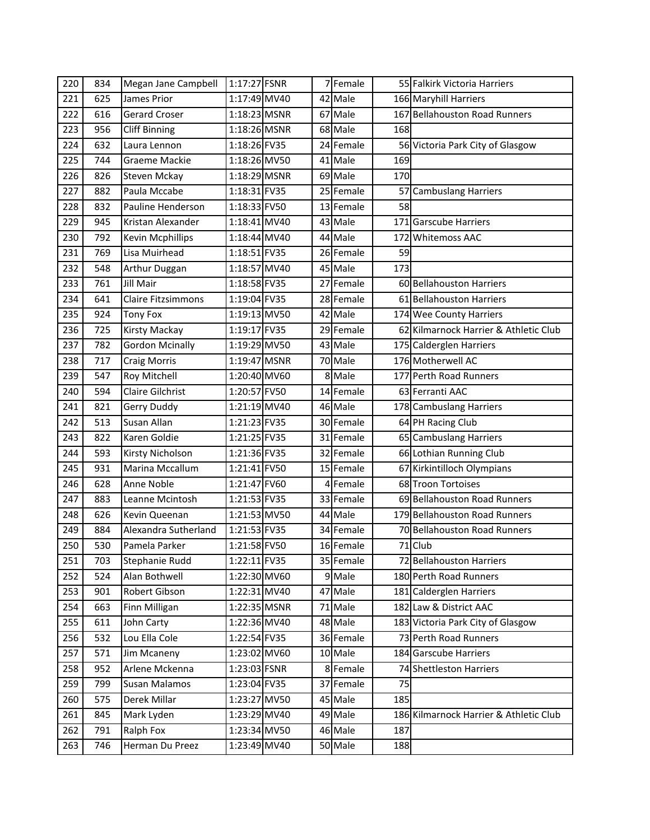| 220 | 834 | Megan Jane Campbell       | 1:17:27 FSNR |    | 7 Female  |     | 55 Falkirk Victoria Harriers           |
|-----|-----|---------------------------|--------------|----|-----------|-----|----------------------------------------|
| 221 | 625 | James Prior               | 1:17:49 MV40 |    | 42 Male   |     | 166 Maryhill Harriers                  |
| 222 | 616 | <b>Gerard Croser</b>      | 1:18:23 MSNR |    | 67 Male   |     | 167 Bellahouston Road Runners          |
| 223 | 956 | <b>Cliff Binning</b>      | 1:18:26 MSNR |    | 68 Male   | 168 |                                        |
| 224 | 632 | Laura Lennon              | 1:18:26 FV35 |    | 24 Female |     | 56 Victoria Park City of Glasgow       |
| 225 | 744 | Graeme Mackie             | 1:18:26 MV50 |    | 41 Male   | 169 |                                        |
| 226 | 826 | <b>Steven Mckay</b>       | 1:18:29 MSNR |    | 69 Male   | 170 |                                        |
| 227 | 882 | Paula Mccabe              | 1:18:31 FV35 |    | 25 Female |     | 57 Cambuslang Harriers                 |
| 228 | 832 | Pauline Henderson         | 1:18:33 FV50 |    | 13 Female | 58  |                                        |
| 229 | 945 | Kristan Alexander         | 1:18:41 MV40 |    | 43 Male   |     | 171 Garscube Harriers                  |
| 230 | 792 | <b>Kevin Mcphillips</b>   | 1:18:44 MV40 |    | 44 Male   |     | 172 Whitemoss AAC                      |
| 231 | 769 | Lisa Muirhead             | 1:18:51 FV35 |    | 26 Female | 59  |                                        |
| 232 | 548 | Arthur Duggan             | 1:18:57 MV40 |    | 45 Male   | 173 |                                        |
| 233 | 761 | <b>Jill Mair</b>          | 1:18:58 FV35 | 27 | Female    |     | 60 Bellahouston Harriers               |
| 234 | 641 | <b>Claire Fitzsimmons</b> | 1:19:04 FV35 |    | 28 Female |     | 61 Bellahouston Harriers               |
| 235 | 924 | <b>Tony Fox</b>           | 1:19:13 MV50 |    | 42 Male   |     | 174 Wee County Harriers                |
| 236 | 725 | <b>Kirsty Mackay</b>      | 1:19:17 FV35 |    | 29 Female |     | 62 Kilmarnock Harrier & Athletic Club  |
| 237 | 782 | <b>Gordon Mcinally</b>    | 1:19:29 MV50 |    | 43 Male   |     | 175 Calderglen Harriers                |
| 238 | 717 | <b>Craig Morris</b>       | 1:19:47 MSNR |    | 70 Male   |     | 176 Motherwell AC                      |
| 239 | 547 | Roy Mitchell              | 1:20:40 MV60 |    | 8 Male    |     | 177 Perth Road Runners                 |
| 240 | 594 | <b>Claire Gilchrist</b>   | 1:20:57 FV50 |    | 14 Female |     | 63 Ferranti AAC                        |
| 241 | 821 | <b>Gerry Duddy</b>        | 1:21:19 MV40 |    | 46 Male   |     | 178 Cambuslang Harriers                |
| 242 | 513 | Susan Allan               | 1:21:23 FV35 |    | 30 Female |     | 64 PH Racing Club                      |
| 243 | 822 | Karen Goldie              | 1:21:25 FV35 |    | 31 Female |     | 65 Cambuslang Harriers                 |
| 244 | 593 | Kirsty Nicholson          | 1:21:36 FV35 |    | 32 Female |     | 66 Lothian Running Club                |
| 245 | 931 | Marina Mccallum           | 1:21:41 FV50 |    | 15 Female |     | 67 Kirkintilloch Olympians             |
| 246 | 628 | Anne Noble                | 1:21:47 FV60 |    | 4 Female  |     | 68 Troon Tortoises                     |
| 247 | 883 | Leanne Mcintosh           | 1:21:53 FV35 |    | 33 Female |     | 69 Bellahouston Road Runners           |
| 248 | 626 | Kevin Queenan             | 1:21:53 MV50 |    | 44 Male   |     | 179 Bellahouston Road Runners          |
| 249 | 884 | Alexandra Sutherland      | 1:21:53 FV35 |    | 34 Female |     | 70 Bellahouston Road Runners           |
| 250 | 530 | Pamela Parker             | 1:21:58 FV50 |    | 16 Female |     | 71 Club                                |
| 251 | 703 | Stephanie Rudd            | 1:22:11 FV35 |    | 35 Female |     | 72 Bellahouston Harriers               |
| 252 | 524 | Alan Bothwell             | 1:22:30 MV60 |    | 9 Male    |     | 180 Perth Road Runners                 |
| 253 | 901 | Robert Gibson             | 1:22:31 MV40 |    | 47 Male   |     | 181 Calderglen Harriers                |
| 254 | 663 | Finn Milligan             | 1:22:35 MSNR |    | 71 Male   |     | 182 Law & District AAC                 |
| 255 | 611 | John Carty                | 1:22:36 MV40 |    | 48 Male   |     | 183 Victoria Park City of Glasgow      |
| 256 | 532 | Lou Ella Cole             | 1:22:54 FV35 |    | 36 Female |     | 73 Perth Road Runners                  |
| 257 | 571 | Jim Mcaneny               | 1:23:02 MV60 |    | 10 Male   |     | 184 Garscube Harriers                  |
| 258 | 952 | Arlene Mckenna            | 1:23:03 FSNR |    | 8 Female  |     | 74 Shettleston Harriers                |
| 259 | 799 | <b>Susan Malamos</b>      | 1:23:04 FV35 |    | 37 Female | 75  |                                        |
| 260 | 575 | Derek Millar              | 1:23:27 MV50 |    | 45 Male   | 185 |                                        |
| 261 | 845 | Mark Lyden                | 1:23:29 MV40 |    | 49 Male   |     | 186 Kilmarnock Harrier & Athletic Club |
| 262 | 791 | Ralph Fox                 | 1:23:34 MV50 |    | 46 Male   | 187 |                                        |
| 263 | 746 | Herman Du Preez           | 1:23:49 MV40 |    | 50 Male   | 188 |                                        |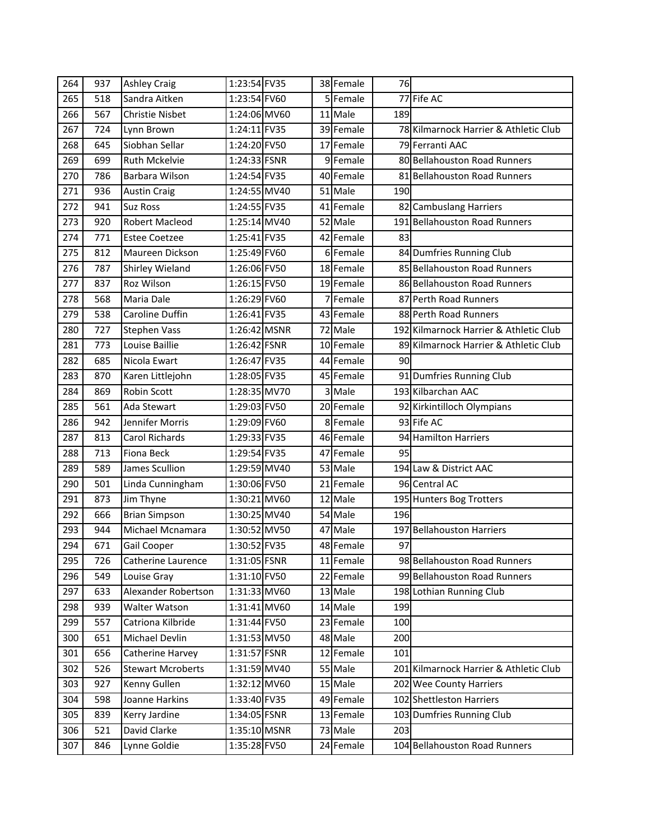| 264 | 937 | <b>Ashley Craig</b>      | 1:23:54 FV35 |                | 38 Female | 76  |                                        |
|-----|-----|--------------------------|--------------|----------------|-----------|-----|----------------------------------------|
| 265 | 518 | Sandra Aitken            | 1:23:54 FV60 |                | 5 Female  |     | 77 Fife AC                             |
| 266 | 567 | <b>Christie Nisbet</b>   | 1:24:06 MV60 |                | 11 Male   | 189 |                                        |
| 267 | 724 | Lynn Brown               | 1:24:11 FV35 |                | 39 Female |     | 78 Kilmarnock Harrier & Athletic Club  |
| 268 | 645 | Siobhan Sellar           | 1:24:20 FV50 |                | 17 Female |     | 79 Ferranti AAC                        |
| 269 | 699 | <b>Ruth Mckelvie</b>     | 1:24:33 FSNR |                | 9Female   |     | 80 Bellahouston Road Runners           |
| 270 | 786 | Barbara Wilson           | 1:24:54 FV35 |                | 40 Female |     | 81 Bellahouston Road Runners           |
| 271 | 936 | <b>Austin Craig</b>      | 1:24:55 MV40 |                | $51$ Male | 190 |                                        |
| 272 | 941 | <b>Suz Ross</b>          | 1:24:55 FV35 |                | 41 Female |     | 82 Cambuslang Harriers                 |
| 273 | 920 | Robert Macleod           | 1:25:14 MV40 |                | 52 Male   |     | 191 Bellahouston Road Runners          |
| 274 | 771 | <b>Estee Coetzee</b>     | 1:25:41 FV35 |                | 42 Female | 83  |                                        |
| 275 | 812 | Maureen Dickson          | 1:25:49 FV60 |                | 6 Female  |     | 84 Dumfries Running Club               |
| 276 | 787 | Shirley Wieland          | 1:26:06 FV50 |                | 18 Female |     | 85 Bellahouston Road Runners           |
| 277 | 837 | Roz Wilson               | 1:26:15 FV50 |                | 19 Female |     | 86 Bellahouston Road Runners           |
| 278 | 568 | Maria Dale               | 1:26:29 FV60 | $\overline{7}$ | Female    |     | 87 Perth Road Runners                  |
| 279 | 538 | Caroline Duffin          | 1:26:41 FV35 |                | 43 Female |     | 88 Perth Road Runners                  |
| 280 | 727 | <b>Stephen Vass</b>      | 1:26:42 MSNR |                | 72 Male   |     | 192 Kilmarnock Harrier & Athletic Club |
| 281 | 773 | Louise Baillie           | 1:26:42 FSNR |                | 10 Female |     | 89 Kilmarnock Harrier & Athletic Club  |
| 282 | 685 | Nicola Ewart             | 1:26:47 FV35 |                | 44 Female | 90  |                                        |
| 283 | 870 | Karen Littlejohn         | 1:28:05 FV35 |                | 45 Female |     | 91 Dumfries Running Club               |
| 284 | 869 | Robin Scott              | 1:28:35 MV70 |                | 3 Male    |     | 193 Kilbarchan AAC                     |
| 285 | 561 | Ada Stewart              | 1:29:03 FV50 |                | 20 Female |     | 92 Kirkintilloch Olympians             |
| 286 | 942 | Jennifer Morris          | 1:29:09 FV60 |                | 8Female   |     | 93 Fife AC                             |
| 287 | 813 | Carol Richards           | 1:29:33 FV35 |                | 46 Female |     | 94 Hamilton Harriers                   |
| 288 | 713 | Fiona Beck               | 1:29:54 FV35 |                | 47 Female | 95  |                                        |
| 289 | 589 | James Scullion           | 1:29:59 MV40 |                | 53 Male   |     | 194 Law & District AAC                 |
| 290 | 501 | Linda Cunningham         | 1:30:06 FV50 |                | 21 Female |     | 96 Central AC                          |
| 291 | 873 | Jim Thyne                | 1:30:21 MV60 |                | 12 Male   |     | 195 Hunters Bog Trotters               |
| 292 | 666 | <b>Brian Simpson</b>     | 1:30:25 MV40 |                | 54 Male   | 196 |                                        |
| 293 | 944 | Michael Mcnamara         | 1:30:52 MV50 |                | 47 Male   |     | 197 Bellahouston Harriers              |
| 294 | 671 | Gail Cooper              | 1:30:52 FV35 |                | 48 Female | 97  |                                        |
| 295 | 726 | Catherine Laurence       | 1:31:05 FSNR |                | 11 Female |     | 98 Bellahouston Road Runners           |
| 296 | 549 | Louise Gray              | 1:31:10 FV50 |                | 22 Female |     | 99 Bellahouston Road Runners           |
| 297 | 633 | Alexander Robertson      | 1:31:33 MV60 |                | 13 Male   |     | 198 Lothian Running Club               |
| 298 | 939 | <b>Walter Watson</b>     | 1:31:41 MV60 |                | 14 Male   | 199 |                                        |
| 299 | 557 | Catriona Kilbride        | 1:31:44 FV50 |                | 23 Female | 100 |                                        |
| 300 | 651 | Michael Devlin           | 1:31:53 MV50 |                | 48 Male   | 200 |                                        |
| 301 | 656 | Catherine Harvey         | 1:31:57 FSNR |                | 12 Female | 101 |                                        |
| 302 | 526 | <b>Stewart Mcroberts</b> | 1:31:59 MV40 |                | 55 Male   |     | 201 Kilmarnock Harrier & Athletic Club |
| 303 | 927 | Kenny Gullen             | 1:32:12 MV60 |                | 15 Male   |     | 202 Wee County Harriers                |
| 304 | 598 | Joanne Harkins           | 1:33:40 FV35 |                | 49 Female |     | 102 Shettleston Harriers               |
| 305 | 839 | Kerry Jardine            | 1:34:05 FSNR |                | 13 Female |     | 103 Dumfries Running Club              |
| 306 | 521 | David Clarke             | 1:35:10 MSNR |                | 73 Male   | 203 |                                        |
|     |     |                          |              |                |           |     |                                        |
| 307 | 846 | Lynne Goldie             | 1:35:28 FV50 |                | 24 Female |     | 104 Bellahouston Road Runners          |